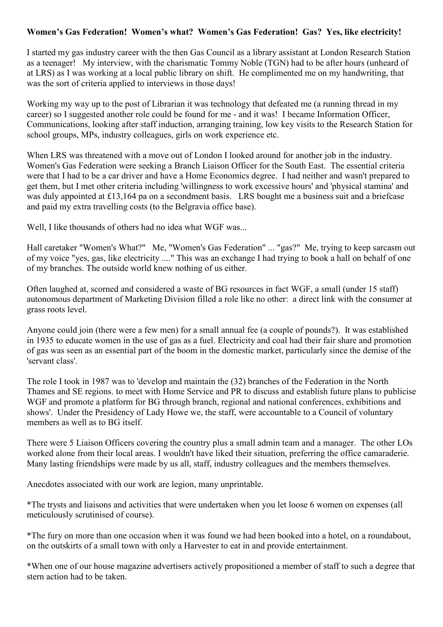## **Women's Gas Federation! Women's what? Women's Gas Federation! Gas? Yes, like electricity!**

I started my gas industry career with the then Gas Council as a library assistant at London Research Station as a teenager! My interview, with the charismatic Tommy Noble (TGN) had to be after hours (unheard of at LRS) as I was working at a local public library on shift. He complimented me on my handwriting, that was the sort of criteria applied to interviews in those days!

Working my way up to the post of Librarian it was technology that defeated me (a running thread in my career) so I suggested another role could be found for me - and it was! I became Information Officer, Communications, looking after staff induction, arranging training, low key visits to the Research Station for school groups, MPs, industry colleagues, girls on work experience etc.

When LRS was threatened with a move out of London I looked around for another job in the industry. Women's Gas Federation were seeking a Branch Liaison Officer for the South East. The essential criteria were that I had to be a car driver and have a Home Economics degree. I had neither and wasn't prepared to get them, but I met other criteria including 'willingness to work excessive hours' and 'physical stamina' and was duly appointed at £13,164 pa on a secondment basis. LRS bought me a business suit and a briefcase and paid my extra travelling costs (to the Belgravia office base).

Well, I like thousands of others had no idea what WGF was...

Hall caretaker "Women's What?" Me, "Women's Gas Federation" ... "gas?" Me, trying to keep sarcasm out of my voice "yes, gas, like electricity ...." This was an exchange I had trying to book a hall on behalf of one of my branches. The outside world knew nothing of us either.

Often laughed at, scorned and considered a waste of BG resources in fact WGF, a small (under 15 staff) autonomous department of Marketing Division filled a role like no other: a direct link with the consumer at grass roots level.

Anyone could join (there were a few men) for a small annual fee (a couple of pounds?). It was established in 1935 to educate women in the use of gas as a fuel. Electricity and coal had their fair share and promotion of gas was seen as an essential part of the boom in the domestic market, particularly since the demise of the 'servant class'.

The role I took in 1987 was to 'develop and maintain the (32) branches of the Federation in the North Thames and SE regions. to meet with Home Service and PR to discuss and establish future plans to publicise WGF and promote a platform for BG through branch, regional and national conferences, exhibitions and shows'. Under the Presidency of Lady Howe we, the staff, were accountable to a Council of voluntary members as well as to BG itself.

There were 5 Liaison Officers covering the country plus a small admin team and a manager. The other LOs worked alone from their local areas. I wouldn't have liked their situation, preferring the office camaraderie. Many lasting friendships were made by us all, staff, industry colleagues and the members themselves.

Anecdotes associated with our work are legion, many unprintable.

\*The trysts and liaisons and activities that were undertaken when you let loose 6 women on expenses (all meticulously scrutinised of course).

\*The fury on more than one occasion when it was found we had been booked into a hotel, on a roundabout, on the outskirts of a small town with only a Harvester to eat in and provide entertainment.

\*When one of our house magazine advertisers actively propositioned a member of staff to such a degree that stern action had to be taken.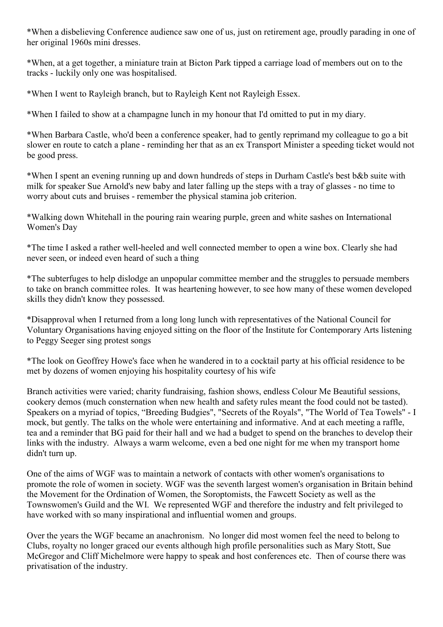\*When a disbelieving Conference audience saw one of us, just on retirement age, proudly parading in one of her original 1960s mini dresses.

\*When, at a get together, a miniature train at Bicton Park tipped a carriage load of members out on to the tracks - luckily only one was hospitalised.

\*When I went to Rayleigh branch, but to Rayleigh Kent not Rayleigh Essex.

\*When I failed to show at a champagne lunch in my honour that I'd omitted to put in my diary.

\*When Barbara Castle, who'd been a conference speaker, had to gently reprimand my colleague to go a bit slower en route to catch a plane - reminding her that as an ex Transport Minister a speeding ticket would not be good press.

\*When I spent an evening running up and down hundreds of steps in Durham Castle's best b&b suite with milk for speaker Sue Arnold's new baby and later falling up the steps with a tray of glasses - no time to worry about cuts and bruises - remember the physical stamina job criterion.

\*Walking down Whitehall in the pouring rain wearing purple, green and white sashes on International Women's Day

\*The time I asked a rather well-heeled and well connected member to open a wine box. Clearly she had never seen, or indeed even heard of such a thing

\*The subterfuges to help dislodge an unpopular committee member and the struggles to persuade members to take on branch committee roles. It was heartening however, to see how many of these women developed skills they didn't know they possessed.

\*Disapproval when I returned from a long long lunch with representatives of the National Council for Voluntary Organisations having enjoyed sitting on the floor of the Institute for Contemporary Arts listening to Peggy Seeger sing protest songs

\*The look on Geoffrey Howe's face when he wandered in to a cocktail party at his official residence to be met by dozens of women enjoying his hospitality courtesy of his wife

Branch activities were varied; charity fundraising, fashion shows, endless Colour Me Beautiful sessions, cookery demos (much consternation when new health and safety rules meant the food could not be tasted). Speakers on a myriad of topics, "Breeding Budgies", "Secrets of the Royals", "The World of Tea Towels" - I mock, but gently. The talks on the whole were entertaining and informative. And at each meeting a raffle, tea and a reminder that BG paid for their hall and we had a budget to spend on the branches to develop their links with the industry. Always a warm welcome, even a bed one night for me when my transport home didn't turn up.

One of the aims of WGF was to maintain a network of contacts with other women's organisations to promote the role of women in society. WGF was the seventh largest women's organisation in Britain behind the Movement for the Ordination of Women, the Soroptomists, the Fawcett Society as well as the Townswomen's Guild and the WI. We represented WGF and therefore the industry and felt privileged to have worked with so many inspirational and influential women and groups.

Over the years the WGF became an anachronism. No longer did most women feel the need to belong to Clubs, royalty no longer graced our events although high profile personalities such as Mary Stott, Sue McGregor and Cliff Michelmore were happy to speak and host conferences etc. Then of course there was privatisation of the industry.